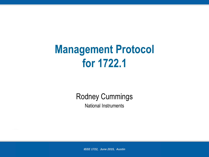#### **Management Protocol for 1722.1**

#### Rodney Cummings

National Instruments

*IEEE 1722, June 2015, Austin*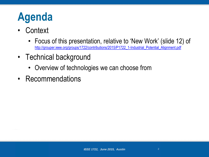## **Agenda**

- Context
	- Focus of this presentation, relative to 'New Work' (slide 12) of [http://grouper.ieee.org/groups/1722/contributions/2015/P1722\\_1-Industrial\\_Potential\\_Alignment.pdf](http://grouper.ieee.org/groups/1722/contributions/2015/P1722_1-Industrial_Potential_Alignment.pdf)
- Technical background
	- Overview of technologies we can choose from
- Recommendations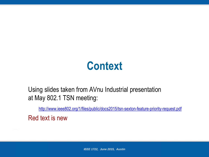#### **Context**

#### Using slides taken from AVnu Industrial presentation at May 802.1 TSN meeting:

<http://www.ieee802.org/1/files/public/docs2015/tsn-sexton-feature-priority-request.pdf>

Red text is new

*IEEE 1722, June 2015, Austin*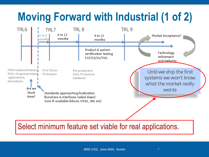# **Moving Forward with Industrial (1 of 2)**



#### Select minimum feature set viable for real applications.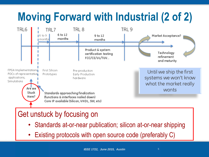# **Moving Forward with Industrial (2 of 2)**



- Standards at-or-near publication; silicon at-or-near shipping
- Existing protocols with open source code (preferably C)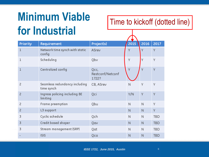## **Minimum Viable for Industrial**

Time to kickoff (dotted line)

| Priority       | Requirement                                 | Project(s)                        | 2015 | 2016         | 2017       |
|----------------|---------------------------------------------|-----------------------------------|------|--------------|------------|
| $\mathbf 1$    | Network time synch with static<br>config    | ASrev                             | Y    | Y            | Y          |
| 1              | Scheduling                                  | Qbv                               | Υ    | Y            | Y          |
| 1              | Centralized config                          | Qcc,<br>Restconf/Netconf<br>1722? | Υ    | Ÿ            | Y          |
| $\overline{c}$ | Seamless redundancy including<br>time synch | CB, ASrev                         | N    | Y            | Υ          |
| $\overline{c}$ | Ingress policing including BE<br>limiting   | Qci                               | Y/N  | Y            | Y          |
| $\overline{c}$ | Frame preemption                            | Qbu                               | N    | N            | Υ          |
| $\overline{c}$ | L3 support                                  |                                   | N    | $\mathsf{N}$ | Y          |
| 3              | Cyclic schedule                             | Qch                               | N    | $\mathsf{N}$ | <b>TBD</b> |
| 3              | Credit based shaper                         | Qav                               | N    | N            | <b>TBD</b> |
| 3              | Stream management (SRP)                     | Qat                               | N    | N            | <b>TBD</b> |
|                | <b>ISIS</b>                                 | Qca                               | N    | N            | <b>TBD</b> |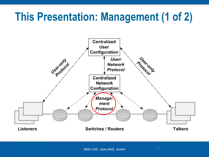#### **This Presentation: Management (1 of 2)**

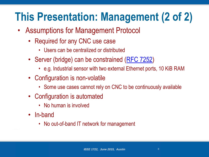## **This Presentation: Management (2 of 2)**

- Assumptions for Management Protocol
	- Required for any CNC use case
		- Users can be centralized or distributed
	- Server (bridge) can be constrained ([RFC 7252](http://tools.ietf.org/html/rfc7228))
		- e.g. Industrial sensor with two external Ethernet ports, 10 KiB RAM
	- Configuration is non-volatile
		- Some use cases cannot rely on CNC to be continuously available
	- Configuration is automated
		- No human is involved
	- In-band
		- No out-of-band IT network for management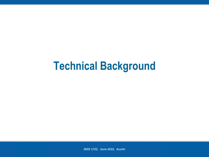#### **Technical Background**

*IEEE 1722, June 2015, Austin*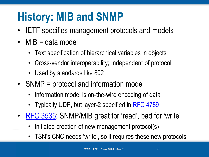## **History: MIB and SNMP**

- **IETF** specifies management protocols and models
- MIB = data model
	- Text specification of hierarchical variables in objects
	- Cross-vendor interoperability; Independent of protocol
	- Used by standards like 802
- SNMP = protocol and information model
	- Information model is on-the-wire encoding of data
	- Typically UDP, but layer-2 specified in [RFC 4789](https://tools.ietf.org/html/rfc4789)
- [RFC 3535](https://tools.ietf.org/html/rfc3535): SNMP/MIB great for 'read', bad for 'write'
	- Initiated creation of new management protocol(s)
	- TSN's CNC needs 'write', so it requires these new protocols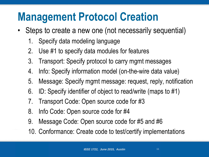#### **Management Protocol Creation**

- Steps to create a new one (not necessarily sequential)
	- 1. Specify data modeling language
	- 2. Use #1 to specify data modules for features
	- 3. Transport: Specify protocol to carry mgmt messages
	- 4. Info: Specify information model (on-the-wire data value)
	- 5. Message: Specify mgmt message: request, reply, notification
	- 6. ID: Specify identifier of object to read/write (maps to #1)
	- 7. Transport Code: Open source code for #3
	- 8. Info Code: Open source code for #4
	- 9. Message Code: Open source code for #5 and #6
	- 10. Conformance: Create code to test/certify implementations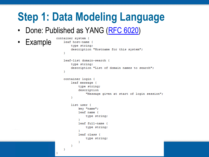### **Step 1: Data Modeling Language**

• Done: Published as YANG ([RFC 6020\)](https://tools.ietf.org/html/rfc6020)

container system {

ł

• Example

```
leaf host-name {
    type string;
    description "Hostname for this system";
Ą.
leaf-list domain-search {
    type string;
    description "List of domain names to search";
Ą.
container login {
    leaf message {
        type string;
        description
            "Message given at start of login session";
    ł
    list user {
        key "name";
        leaf name {
            type string;
        leaf full-name {
            type string;
        Ą.
        leaf class {
            type string;
        ÷.
    3
```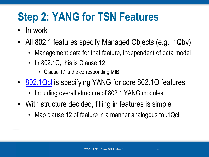## **Step 2: YANG for TSN Features**

- In-work
- All 802.1 features specify Managed Objects (e.g. .1Qbv)
	- Management data for that feature, independent of data model
	- In 802.1Q, this is Clause 12
		- Clause 17 is the corresponding MIB
- [802.1Qcl](http://www.ieee802.org/1/files/public/docs2015/cl-draft-1Q-YANG-par-0615-v02.pdf) is specifying YANG for core 802.1Q features
	- Including overall structure of 802.1 YANG modules
- With structure decided, filling in features is simple
	- Map clause 12 of feature in a manner analogous to .1Qcl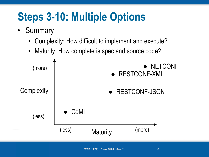## **Steps 3-10: Multiple Options**

- Summary
	- Complexity: How difficult to implement and execute?
	- Maturity: How complete is spec and source code?

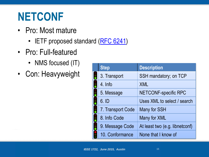#### **NETCONF**

- Pro: Most mature
	- IETF proposed standard ([RFC 6241](http://tools.ietf.org/html/rfc6241))
- Pro: Full-featured
	- NMS focused (IT)
- Con: Heavyweight

|   | <b>Step</b>       | <b>Description</b>             |
|---|-------------------|--------------------------------|
|   | 3. Transport      | SSH mandatory; on TCP          |
|   | 4. Info           | <b>XML</b>                     |
|   | 5. Message        | <b>NETCONF-specific RPC</b>    |
|   | 6. ID             | Uses XML to select / search    |
|   | 7. Transport Code | Many for SSH                   |
| 6 | 8. Info Code      | Many for XML                   |
|   | 9. Message Code   | At least two (e.g. libnetconf) |
|   | 10. Conformance   | None that I know of            |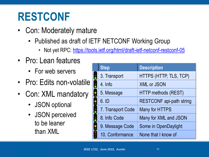#### **RESTCONF**

- Con: Moderately mature
	- Published as draft of IETF NETCONF Working Group
		- Not yet RPC:<https://tools.ietf.org/html/draft-ietf-netconf-restconf-05>
- Pro: Lean features
	- For web servers
- Pro: Edits non-volatile
- Con: XML mandatory
	- JSON optional
	- JSON perceived to be leaner than XML

| <b>Step</b>       | <b>Description</b>              |
|-------------------|---------------------------------|
| 3. Transport      | HTTPS (HTTP, TLS, TCP)          |
| 4. Info           | <b>XML or JSON</b>              |
| 5. Message        | <b>HTTP methods (REST)</b>      |
| 6. ID             | <b>RESTCONF</b> api-path string |
| 7. Transport Code | Many for HTTPS                  |
| 8. Info Code      | Many for XML and JSON           |
| 9. Message Code   | Some in OpenDaylight            |
| 10. Conformance   | None that I know of             |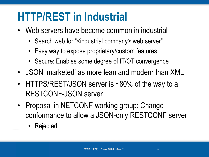#### **HTTP/REST in Industrial**

- Web servers have become common in industrial
	- Search web for "<industrial company> web server"
	- Easy way to expose proprietary/custom features
	- Secure: Enables some degree of IT/OT convergence
- JSON 'marketed' as more lean and modern than XML
- HTTPS/REST/JSON server is ~80% of the way to a RESTCONF-JSON server
- Proposal in NETCONF working group: Change conformance to allow a JSON-only RESTCONF server
	- Rejected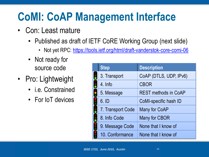## **CoMI: CoAP Management Interface**

- Con: Least mature
	- Published as draft of IETF CoRE Working Group (next slide)
		- Not yet RPC:<https://tools.ietf.org/html/draft-vanderstok-core-comi-06>
	- Not ready for source code
- Pro: Lightweight
	- i.e. Constrained
	- For IoT devices

|   | <b>Step</b>       | <b>Description</b>          |
|---|-------------------|-----------------------------|
|   | 3. Transport      | CoAP (DTLS, UDP, IPv6)      |
|   | 4. Info           | <b>CBOR</b>                 |
|   | 5. Message        | <b>REST methods in CoAP</b> |
|   | 6. ID             | CoMI-specific hash ID       |
|   | 7. Transport Code | <b>Many for CoAP</b>        |
| E | 8. Info Code      | Many for CBOR               |
|   | 9. Message Code   | None that I know of         |
|   | 10. Conformance   | None that I know of         |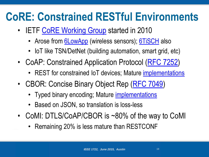### **CoRE: Constrained RESTful Environments**

- IETF [CoRE Working Group](http://trac.tools.ietf.org/wg/core/trac/wiki) started in 2010
	- Arose from **[6LowApp](http://trac.tools.ietf.org/area/app/trac/wiki/6LowApp)** (wireless sensors); [6TiSCH](https://tools.ietf.org/wg/6tisch/) also
	- IoT like TSN/DetNet (building automation, smart grid, etc)
- CoAP: Constrained Application Protocol [\(RFC 7252\)](https://tools.ietf.org/html/rfc7252)
	- REST for constrained IoT devices; Mature [implementations](http://coap.technology/)
- CBOR: Concise Binary Object Rep [\(RFC 7049\)](https://tools.ietf.org/html/rfc7049)
	- Typed binary encoding; Mature *[implementations](http://cbor.io/)*
	- Based on JSON, so translation is loss-less
- CoMI: DTLS/CoAP/CBOR is ~80% of the way to CoMI
	- Remaining 20% is less mature than RESTCONF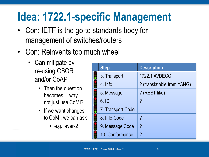## **Idea: 1722.1-specific Management**

- Con: IETF is the go-to standards body for management of switches/routers
- Con: Reinvents too much wheel
	- Can mitigate by re-using CBOR and/or CoAP
		- Then the question becomes… why not just use CoMI?
		- If we want changes to CoMI, we can ask
			- $\blacksquare$  e.g. layer-2

| <b>Step</b>       | <b>Description</b>         |
|-------------------|----------------------------|
| 3. Transport      | <b>1722.1 AVDECC</b>       |
| 4. Info           | ? (translatable from YANG) |
| 5. Message        | ? (REST-like)              |
| 6. ID             | $\boldsymbol{\mathsf{a}}$  |
| 7. Transport Code |                            |
| 8. Info Code      | ?                          |
| 9. Message Code   | $\boldsymbol{\gamma}$      |
| 10. Conformance   | ?                          |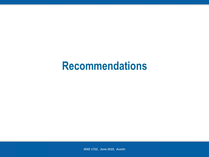#### **Recommendations**

*IEEE 1722, June 2015, Austin*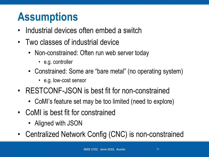#### **Assumptions**

- Industrial devices often embed a switch
- Two classes of industrial device
	- Non-constrained: Often run web server today
		- e.g. controller
	- Constrained: Some are "bare metal" (no operating system)
		- e.g. low-cost sensor
- RESTCONF-JSON is best fit for non-constrained
	- CoMI's feature set may be too limited (need to explore)
- CoMI is best fit for constrained
	- Aligned with JSON
- Centralized Network Config (CNC) is non-constrained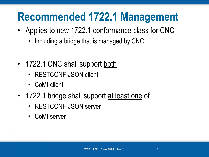#### **Recommended 1722.1 Management**

- Applies to new 1722.1 conformance class for CNC
	- Including a bridge that is managed by CNC
- 1722.1 CNC shall support both
	- RESTCONF-JSON client
	- CoMI client
- 1722.1 bridge shall support at least one of
	- RESTCONF-JSON server
	- CoMI server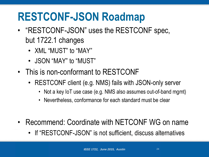#### **RESTCONF-JSON Roadmap**

- "RESTCONF-JSON" uses the RESTCONF spec, but 1722.1 changes
	- XML "MUST" to "MAY"
	- JSON "MAY" to "MUST"
- This is non-conformant to RESTCONF
	- RESTCONF client (e.g. NMS) fails with JSON-only server
		- Not a key IoT use case (e.g. NMS also assumes out-of-band mgmt)
		- Nevertheless, conformance for each standard must be clear
- Recommend: Coordinate with NETCONF WG on name
	- If "RESTCONF-JSON" is not sufficient, discuss alternatives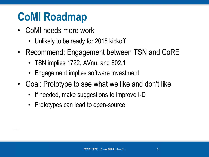## **CoMI Roadmap**

- CoMI needs more work
	- Unlikely to be ready for 2015 kickoff
- Recommend: Engagement between TSN and CoRE
	- TSN implies 1722, AVnu, and 802.1
	- Engagement implies software investment
- Goal: Prototype to see what we like and don't like
	- If needed, make suggestions to improve I-D
	- Prototypes can lead to open-source